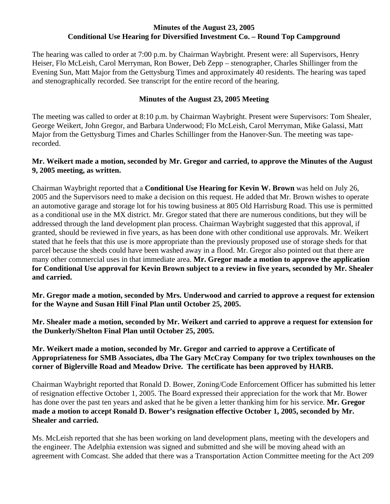## **Minutes of the August 23, 2005 Conditional Use Hearing for Diversified Investment Co. – Round Top Campground**

The hearing was called to order at 7:00 p.m. by Chairman Waybright. Present were: all Supervisors, Henry Heiser, Flo McLeish, Carol Merryman, Ron Bower, Deb Zepp – stenographer, Charles Shillinger from the Evening Sun, Matt Major from the Gettysburg Times and approximately 40 residents. The hearing was taped and stenographically recorded. See transcript for the entire record of the hearing.

## **Minutes of the August 23, 2005 Meeting**

The meeting was called to order at 8:10 p.m. by Chairman Waybright. Present were Supervisors: Tom Shealer, George Weikert, John Gregor, and Barbara Underwood; Flo McLeish, Carol Merryman, Mike Galassi, Matt Major from the Gettysburg Times and Charles Schillinger from the Hanover-Sun. The meeting was taperecorded.

## **Mr. Weikert made a motion, seconded by Mr. Gregor and carried, to approve the Minutes of the August 9, 2005 meeting, as written.**

Chairman Waybright reported that a **Conditional Use Hearing for Kevin W. Brown** was held on July 26, 2005 and the Supervisors need to make a decision on this request. He added that Mr. Brown wishes to operate an automotive garage and storage lot for his towing business at 805 Old Harrisburg Road. This use is permitted as a conditional use in the MX district. Mr. Gregor stated that there are numerous conditions, but they will be addressed through the land development plan process. Chairman Waybright suggested that this approval, if granted, should be reviewed in five years, as has been done with other conditional use approvals. Mr. Weikert stated that he feels that this use is more appropriate than the previously proposed use of storage sheds for that parcel because the sheds could have been washed away in a flood. Mr. Gregor also pointed out that there are many other commercial uses in that immediate area. **Mr. Gregor made a motion to approve the application for Conditional Use approval for Kevin Brown subject to a review in five years, seconded by Mr. Shealer and carried.** 

**Mr. Gregor made a motion, seconded by Mrs. Underwood and carried to approve a request for extension for the Wayne and Susan Hill Final Plan until October 25, 2005.** 

**Mr. Shealer made a motion, seconded by Mr. Weikert and carried to approve a request for extension for the Dunkerly/Shelton Final Plan until October 25, 2005.** 

## **Mr. Weikert made a motion, seconded by Mr. Gregor and carried to approve a Certificate of Appropriateness for SMB Associates, dba The Gary McCray Company for two triplex townhouses on the corner of Biglerville Road and Meadow Drive. The certificate has been approved by HARB.**

Chairman Waybright reported that Ronald D. Bower, Zoning/Code Enforcement Officer has submitted his letter of resignation effective October 1, 2005. The Board expressed their appreciation for the work that Mr. Bower has done over the past ten years and asked that he be given a letter thanking him for his service. **Mr. Gregor made a motion to accept Ronald D. Bower's resignation effective October 1, 2005, seconded by Mr. Shealer and carried.** 

Ms. McLeish reported that she has been working on land development plans, meeting with the developers and the engineer. The Adelphia extension was signed and submitted and she will be moving ahead with an agreement with Comcast. She added that there was a Transportation Action Committee meeting for the Act 209